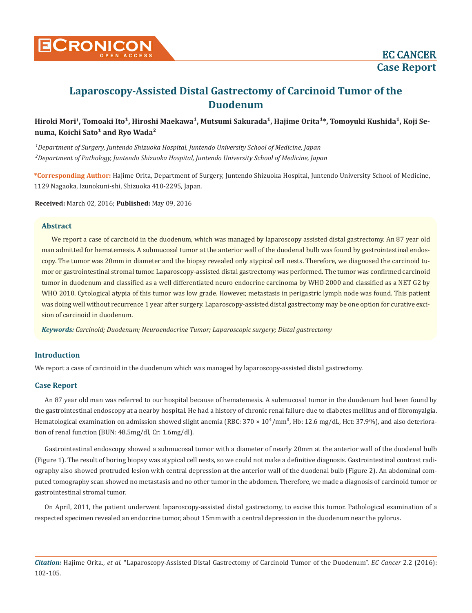

# **Laparoscopy-Assisted Distal Gastrectomy of Carcinoid Tumor of the Duodenum**

Hiroki Mori<sup>1</sup>, Tomoaki Ito<sup>1</sup>, Hiroshi Maekawa<sup>1</sup>, Mutsumi Sakurada<sup>1</sup>, Hajime Orita<sup>1\*</sup>, Tomoyuki Kushida<sup>1</sup>, Koji Se**numa, Koichi Sato<sup>1</sup> and Ryo Wada<sup>2</sup>** 

*1 Department of Surgery, Juntendo Shizuoka Hospital, Juntendo University School of Medicine, Japan 2 Department of Pathology, Juntendo Shizuoka Hospital, Juntendo University School of Medicine, Japan*

**\*Corresponding Author:** Hajime Orita, Department of Surgery, Juntendo Shizuoka Hospital, Juntendo University School of Medicine, 1129 Nagaoka, Izunokuni-shi, Shizuoka 410-2295, Japan.

**Received:** March 02, 2016; **Published:** May 09, 2016

#### **Abstract**

We report a case of carcinoid in the duodenum, which was managed by laparoscopy assisted distal gastrectomy. An 87 year old man admitted for hematemesis. A submucosal tumor at the anterior wall of the duodenal bulb was found by gastrointestinal endoscopy. The tumor was 20mm in diameter and the biopsy revealed only atypical cell nests. Therefore, we diagnosed the carcinoid tumor or gastrointestinal stromal tumor. Laparoscopy-assisted distal gastrectomy was performed. The tumor was confirmed carcinoid tumor in duodenum and classified as a well differentiated neuro endocrine carcinoma by WHO 2000 and classified as a NET G2 by WHO 2010. Cytological atypia of this tumor was low grade. However, metastasis in perigastric lymph node was found. This patient was doing well without recurrence 1 year after surgery. Laparoscopy-assisted distal gastrectomy may be one option for curative excision of carcinoid in duodenum.

*Keywords: Carcinoid; Duodenum; Neuroendocrine Tumor; Laparoscopic surgery; Distal gastrectomy*

## **Introduction**

We report a case of carcinoid in the duodenum which was managed by laparoscopy-assisted distal gastrectomy.

## **Case Report**

An 87 year old man was referred to our hospital because of hematemesis. A submucosal tumor in the duodenum had been found by the gastrointestinal endoscopy at a nearby hospital. He had a history of chronic renal failure due to diabetes mellitus and of fibromyalgia. Hematological examination on admission showed slight anemia (RBC:  $370 \times 10^4/\text{mm}^3$ , Hb: 12.6 mg/dL, Hct: 37.9%), and also deterioration of renal function (BUN: 48.5mg/dl, Cr: 1.6mg/dl).

Gastrointestinal endoscopy showed a submucosal tumor with a diameter of nearly 20mm at the anterior wall of the duodenal bulb (Figure 1). The result of boring biopsy was atypical cell nests, so we could not make a definitive diagnosis. Gastrointestinal contrast radiography also showed protruded lesion with central depression at the anterior wall of the duodenal bulb (Figure 2). An abdominal computed tomography scan showed no metastasis and no other tumor in the abdomen. Therefore, we made a diagnosis of carcinoid tumor or gastrointestinal stromal tumor.

On April, 2011, the patient underwent laparoscopy-assisted distal gastrectomy, to excise this tumor. Pathological examination of a respected specimen revealed an endocrine tumor, about 15mm with a central depression in the duodenum near the pylorus.

*Citation:* Hajime Orita., *et al.* "Laparoscopy-Assisted Distal Gastrectomy of Carcinoid Tumor of the Duodenum". *EC Cancer* 2.2 (2016): 102-105.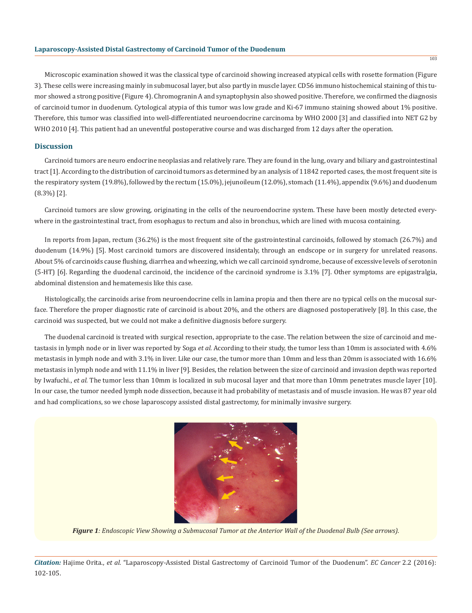#### **Laparoscopy-Assisted Distal Gastrectomy of Carcinoid Tumor of the Duodenum**

Microscopic examination showed it was the classical type of carcinoid showing increased atypical cells with rosette formation (Figure 3). These cells were increasing mainly in submucosal layer, but also partly in muscle layer. CD56 immuno histochemical staining of this tumor showed a strong positive (Figure 4). Chromogranin A and synaptophysin also showed positive. Therefore, we confirmed the diagnosis of carcinoid tumor in duodenum. Cytological atypia of this tumor was low grade and Ki-67 immuno staining showed about 1% positive. Therefore, this tumor was classified into well-differentiated neuroendocrine carcinoma by WHO 2000 [3] and classified into NET G2 by WHO 2010 [4]. This patient had an uneventful postoperative course and was discharged from 12 days after the operation.

## **Discussion**

Carcinoid tumors are neuro endocrine neoplasias and relatively rare. They are found in the lung, ovary and biliary and gastrointestinal tract [1]. According to the distribution of carcinoid tumors as determined by an analysis of 11842 reported cases, the most frequent site is the respiratory system (19.8%), followed by the rectum (15.0%), jejunoileum (12.0%), stomach (11.4%), appendix (9.6%) and duodenum (8.3%) [2].

Carcinoid tumors are slow growing, originating in the cells of the neuroendocrine system. These have been mostly detected everywhere in the gastrointestinal tract, from esophagus to rectum and also in bronchus, which are lined with mucosa containing.

In reports from Japan, rectum (36.2%) is the most frequent site of the gastrointestinal carcinoids, followed by stomach (26.7%) and duodenum (14.9%) [5]. Most carcinoid tumors are discovered insidentaly, through an endscope or in surgery for unrelated reasons. About 5% of carcinoids cause flushing, diarrhea and wheezing, which we call carcinoid syndrome, because of excessive levels of serotonin (5-HT) [6]. Regarding the duodenal carcinoid, the incidence of the carcinoid syndrome is 3.1% [7]. Other symptoms are epigastralgia, abdominal distension and hematemesis like this case.

Histologically, the carcinoids arise from neuroendocrine cells in lamina propia and then there are no typical cells on the mucosal surface. Therefore the proper diagnostic rate of carcinoid is about 20%, and the others are diagnosed postoperatively [8]. In this case, the carcinoid was suspected, but we could not make a definitive diagnosis before surgery.

The duodenal carcinoid is treated with surgical resection, appropriate to the case. The relation between the size of carcinoid and metastasis in lymph node or in liver was reported by Soga *et al.* According to their study, the tumor less than 10mm is associated with 4.6% metastasis in lymph node and with 3.1% in liver. Like our case, the tumor more than 10mm and less than 20mm is associated with 16.6% metastasis in lymph node and with 11.1% in liver [9]. Besides, the relation between the size of carcinoid and invasion depth was reported by Iwafuchi., *et al.* The tumor less than 10mm is localized in sub mucosal layer and that more than 10mm penetrates muscle layer [10]. In our case, the tumor needed lymph node dissection, because it had probability of metastasis and of muscle invasion. He was 87 year old and had complications, so we chose laparoscopy assisted distal gastrectomy, for minimally invasive surgery.



*Figure 1: Endoscopic View Showing a Submucosal Tumor at the Anterior Wall of the Duodenal Bulb (See arrows).*

*Citation:* Hajime Orita., *et al.* "Laparoscopy-Assisted Distal Gastrectomy of Carcinoid Tumor of the Duodenum". *EC Cancer* 2.2 (2016): 102-105.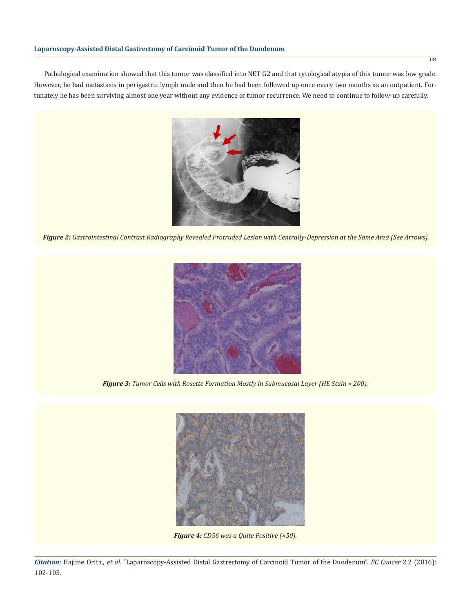Pathological examination showed that this tumor was classified into NET G2 and that cytological atypia of this tumor was low grade. However, he had metastasis in perigastric lymph node and then he had been followed up once every two months as an outpatient. Fortunately he has been surviving almost one year without any evidence of tumor recurrence. We need to continue to follow-up carefully.



*Figure 2: Gastrointestinal Contrast Radiography Revealed Protruded Lesion with Centrally-Depression at the Same Area (See Arrows).*



*Figure 3: Tumor Cells with Rosette Formation Mostly in Submucosal Layer (HE Stain × 200).*



*Figure 4: CD56 was a Quite Positive (×50).*

*Citation:* Hajime Orita., *et al.* "Laparoscopy-Assisted Distal Gastrectomy of Carcinoid Tumor of the Duodenum". *EC Cancer* 2.2 (2016): 102-105.